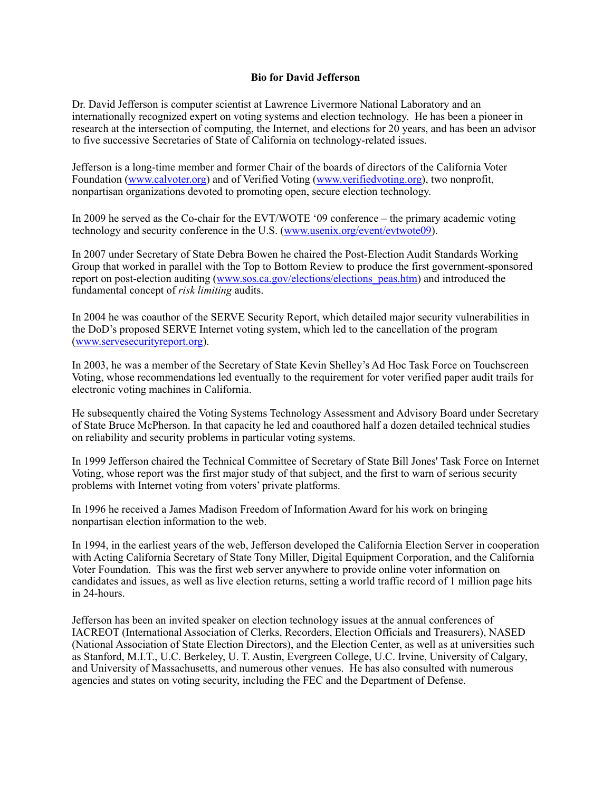## **Bio for David Jefferson**

Dr. David Jefferson is computer scientist at Lawrence Livermore National Laboratory and an internationally recognized expert on voting systems and election technology. He has been a pioneer in research at the intersection of computing, the Internet, and elections for 20 years, and has been an advisor to five successive Secretaries of State of California on technology-related issues.

Jefferson is a long-time member and former Chair of the boards of directors of the California Voter Foundation (www.calvoter.org) and of Verified Voting (www.verifiedvoting.org), two nonprofit, nonpartisan organizations devoted to promoting open, secure election technology.

In 2009 he served as the Co-chair for the EVT/WOTE '09 conference – the primary academic voting technology and security conference in the U.S. (www.usenix.org/event/evtwote09).

In 2007 under Secretary of State Debra Bowen he chaired the Post-Election Audit Standards Working Group that worked in parallel with the Top to Bottom Review to produce the first government-sponsored report on post-election auditing (www.sos.ca.gov/elections/elections peas.htm) and introduced the fundamental concept of *risk limiting* audits.

In 2004 he was coauthor of the SERVE Security Report, which detailed major security vulnerabilities in the DoD's proposed SERVE Internet voting system, which led to the cancellation of the program (www.servesecurityreport.org).

In 2003, he was a member of the Secretary of State Kevin Shelley's Ad Hoc Task Force on Touchscreen Voting, whose recommendations led eventually to the requirement for voter verified paper audit trails for electronic voting machines in California.

He subsequently chaired the Voting Systems Technology Assessment and Advisory Board under Secretary of State Bruce McPherson. In that capacity he led and coauthored half a dozen detailed technical studies on reliability and security problems in particular voting systems.

In 1999 Jefferson chaired the Technical Committee of Secretary of State Bill Jones' Task Force on Internet Voting, whose report was the first major study of that subject, and the first to warn of serious security problems with Internet voting from voters' private platforms.

In 1996 he received a James Madison Freedom of Information Award for his work on bringing nonpartisan election information to the web.

In 1994, in the earliest years of the web, Jefferson developed the California Election Server in cooperation with Acting California Secretary of State Tony Miller, Digital Equipment Corporation, and the California Voter Foundation. This was the first web server anywhere to provide online voter information on candidates and issues, as well as live election returns, setting a world traffic record of 1 million page hits in 24-hours.

Jefferson has been an invited speaker on election technology issues at the annual conferences of IACREOT (International Association of Clerks, Recorders, Election Officials and Treasurers), NASED (National Association of State Election Directors), and the Election Center, as well as at universities such as Stanford, M.I.T., U.C. Berkeley, U. T. Austin, Evergreen College, U.C. Irvine, University of Calgary, and University of Massachusetts, and numerous other venues. He has also consulted with numerous agencies and states on voting security, including the FEC and the Department of Defense.